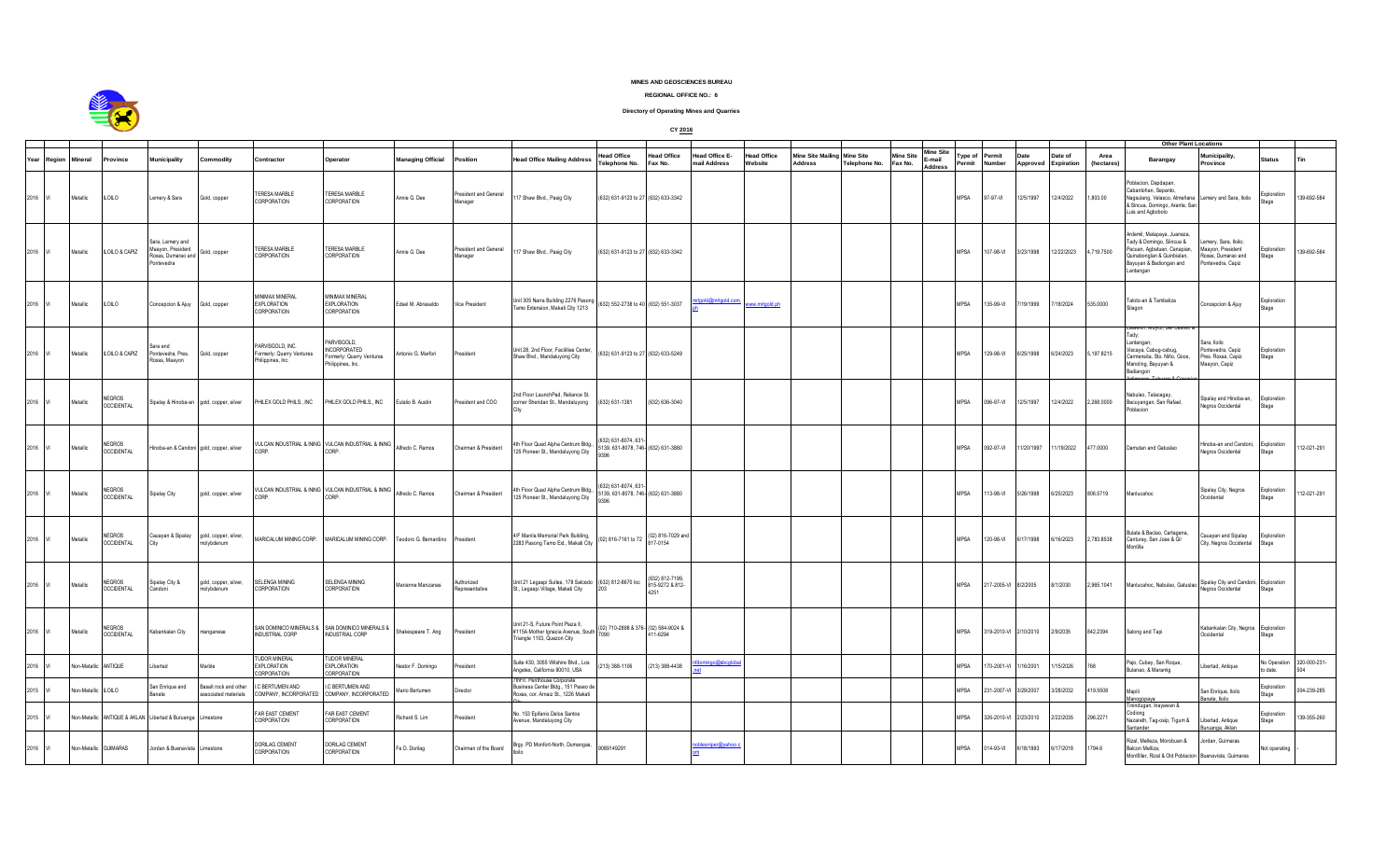

## **MINES AND GEOSCIENCES BUREAU**

## **REGIONAL OFFICE NO.: 6**

## **Directory of Operating Mines and Quarries**

**CY 2016**

|      |             |                       |                                    |                                                                                        |                                              |                                                                    |                                                                             |                      |                                  |                                                                                                          |                                                                   |                                    |                                       |                               |                                     |                                   |                             |                                       |                   |                     | <b>Other Plant Locations</b> |                       |                          |                                                                                                                                                             |                                                                                      |                             |              |
|------|-------------|-----------------------|------------------------------------|----------------------------------------------------------------------------------------|----------------------------------------------|--------------------------------------------------------------------|-----------------------------------------------------------------------------|----------------------|----------------------------------|----------------------------------------------------------------------------------------------------------|-------------------------------------------------------------------|------------------------------------|---------------------------------------|-------------------------------|-------------------------------------|-----------------------------------|-----------------------------|---------------------------------------|-------------------|---------------------|------------------------------|-----------------------|--------------------------|-------------------------------------------------------------------------------------------------------------------------------------------------------------|--------------------------------------------------------------------------------------|-----------------------------|--------------|
|      | Year Region | Mineral               | Province                           | Municipality                                                                           | ommodity                                     | Contractor                                                         | Operator                                                                    | Managing Official    | Position                         | <b>Head Office Mailing Address</b>                                                                       | lead Office<br>Telephone No.                                      | <b>Head Office</b><br>Fax No.      | <b>Head Office E-</b><br>mail Address | <b>Head Office</b><br>Website | Mine Site Mailing<br><b>Address</b> | <b>Mine Site</b><br>Telephone No. | <b>Mine Site</b><br>Fax No. | Mine Site<br>E-mail<br><b>Address</b> | Type of<br>Permit | Permit<br>Number    | Date<br>Approved             | Date of<br>Expiration | Area<br><i>(hectares</i> | Barangay                                                                                                                                                    | Municipality,<br>Province                                                            | <b>Status</b>               | Tin          |
|      | 2016 M      | Metallic              | <b>ILOILO</b>                      | Lemery & Sara                                                                          | Gold, copper                                 | <b>TERESA MARBLE</b><br>CORPORATION                                | <b>TERESA MARBLE</b><br><b>CORPORATION</b>                                  | Annie G. Dee         | President and General<br>Manager | 17 Shaw Blvd., Pasig City                                                                                | (632) 631-9123 to 27 (632) 633-3342                               |                                    |                                       |                               |                                     |                                   |                             |                                       | <b>MPSA</b>       | 97-97-VI            | 12/5/1997                    | 12/4/2022             | 1,803.00                 | oblacion, Dapdapan,<br>Cabantohan, Sepanto,<br>Nagsulang, Velasco, Almeñana<br>& Sincua, Domingo, Arante, San<br>uis and Agbobolo                           | Lemery and Sara, Iloilo                                                              | Exploration<br>Stage        | 139-692-584  |
|      | 2016 VI     | Metallic              | ILOILO & CAPIZ                     | Sara, Lemery and<br>Maayon, President<br>Roxas, Dumarao and Gold, copper<br>Pontevedra |                                              | TERESA MARBLE<br>CORPORATION                                       | TERESA MARBLE<br>CORPORATION                                                | Annie G. Dee         | President and General<br>Manager | 17 Shaw Blvd., Pasig City                                                                                | (632) 631-9123 to 27 (632) 633-3342                               |                                    |                                       |                               |                                     |                                   |                             |                                       | <b>MPSA</b>       | 07-98-VI            | 3/23/1998                    | 12/22/2023            | 4,719.7500               | vdemil, Malapava, Juaneza,<br>Tady & Domingo, Siincua &<br>Pacuan, Agbatuan, Canapian,<br>luinabonglan & Guinbialan,<br>layuyan & Badiongan and<br>antangan | emery, Sara, Iloilo;<br>Maayon, President<br>Roxas, Dumarao and<br>Pontevedra, Capiz | Exploration<br>Stage        | 139-692-584  |
|      | 2016 VI     | Metallic              | <b>ILOILO</b>                      | Concepcion & Ajuy                                                                      | Gold, copper                                 | <b>MINIMAX MINERAL</b><br><b>EXPLORATION</b><br><b>CORPORATION</b> | <b>INIMAX MINERAL</b><br><b>EXPLORATION</b><br>CORPORATION                  | Edsel M. Abrasaldo   | Vice President                   | Unit 305 Narra Building 2276 Pasong<br>Famo Extension, Makati City 1213                                  | (632) 552-2738 to 40 (632) 551-3037                               |                                    | rinnid cr                             | www.mrlgold.ph                |                                     |                                   |                             |                                       | <b>MPSA</b>       | 135-99-VI           | 7/19/1999                    | 7/18/2024             | 535.0000                 | Taloto-an & Tambaliza                                                                                                                                       | Concepcion & Ajuy                                                                    | Exploration<br>Stage        |              |
|      | 2016        | Metallic              | ILOILO & CAPIZ                     | Sara and<br>Pontevedra, Pres.<br>Roxas, Maayon                                         | Gold, copper                                 | PARVISGOLD, INC.<br>Formerly: Quarry Ventures<br>Philippines, Inc. | PARVISGOLD.<br>NCORPORATED<br>Formerly: Quarry Ventures<br>hilippines, Inc. | Intonio G. Marfori   | President                        | Unit 28, 2nd Floor, Facilities Center,<br>Shaw Blvd., Mandaluyong City                                   | 632) 631-9123 to 27 (632) 633-5249                                |                                    |                                       |                               |                                     |                                   |                             |                                       | <b>MPSA</b>       | 129-98-VI           | 6/25/1998                    | 6/24/2023             | 5,197.8215               | , muyco, Dei Casu<br>adv:<br>Lantangan:<br>fiscaya, Cabug-cabug,<br>Carmensita, Sto, Niño, Goce,<br>Manoling, Bayuyan &<br>Badiangon                        | Sara Iloilo<br>Pontevedra, Capiz<br>Pres. Roxas, Capiz<br>Maayon, Capiz              | Exploration<br>Stage        |              |
|      | 2016        | Metallic              | <b>NEGROS</b><br><b>OCCIDENTAL</b> |                                                                                        | Sipalay & Hinoba-an gold, copper, silver     | PHILEX GOLD PHILS., INC                                            | PHILEX GOLD PHILS., INC                                                     | Eulalio B. Austin    | President and COO                | 2nd Floor LaunchPad, Reliance St.<br>orner Sheridan St., Mandaluyong                                     | 632) 631-1381                                                     | (632) 636-3040                     |                                       |                               |                                     |                                   |                             |                                       | <b>MPSA</b>       | 096-97-VI           | 12/5/1997                    | 12/4/2022             | 2,268.0000               | labulao, Talacagay,<br>Bacuyangan, San Rafael,<br>oblacion                                                                                                  | ipalay and Hinoba-an,<br>Negros Occidental                                           | Exploration<br>Stage        |              |
|      | 2016 VI     | Metallic              | <b>NFGROS</b><br><b>OCCIDENTAL</b> |                                                                                        | Hinoba-an & Candoni gold, copper, silver     | CORP                                                               | VULCAN INDUSTRIAL & INING VULCAN INDUSTRIAL & INING<br>CORP                 | Alfredo C. Ramos     | Chairman & President             | 4th Floor Quad Alpha Centrum Bldg.,<br>25 Pioneer St., Mandaluyong City                                  | 632) 631-8074, 63<br>5139, 631-8078, 746- (632) 631-3880          |                                    |                                       |                               |                                     |                                   |                             |                                       | <b>MPSA</b>       | 092-97-VI           | 11/20/1997                   | 11/19/2022            | 477.0000                 | Damutan and Gatuslao                                                                                                                                        | linoba-an and Candoni,<br>Negros Occidental                                          | Exploration<br>Stage        | 112-021-291  |
|      | 2016 VI     | Metallic              | <b>NFGROS</b><br><b>OCCIDENTAL</b> | Sipalay City                                                                           | gold, copper, silver                         | CORP                                                               | VULCAN INDUSTRIAL & INING VULCAN INDUSTRIAL & INING<br>CORP.                | Alfredo C. Ramos     | Chairman & President             | 4th Floor Quad Alpha Centrum Bldg.,<br>25 Pioneer St., Mandaluyong City                                  | (632) 631-8074, 631<br>139, 631-8078, 746- (632) 631-3880<br>1396 |                                    |                                       |                               |                                     |                                   |                             |                                       | <b>MPSA</b>       | 13-98-VI            | 5/26/1998                    | 6/25/2023             | 806.5719                 | Manlucahoc                                                                                                                                                  | Sipalay City, Negros<br>Occidental                                                   | Exploration<br>Stage        | 112-021-291  |
|      | 2016        | Metallic              | <b>NEGROS</b><br><b>OCCIDENTAL</b> | Cauayan & Sipalay<br>City                                                              | gold, copper, silver,<br>molybdenum          | MARICALUM MINING CORP.                                             | MARICALUM MINING CORP.                                                      | eodoro G. Bernardino | President                        | 4/F Manila Memorial Park Building,<br>2283 Pasong Tamo Ext., Makati City                                 | 02) 816-7161 to 72                                                | (02) 816-7029 and<br>817-0154      |                                       |                               |                                     |                                   |                             |                                       | <b>MPSA</b>       | 20-98-VI            | 6/17/1998                    | 6/16/2023             | 2,783.8538               | Bulata & Baclao, Cartagena,<br>Canturay, San Jose & Gil<br><b>Aontilla</b>                                                                                  | Cauayan and Sipalay<br>City, Negros Occidental                                       | Exploration<br>Stage        |              |
|      | 2016 VI     | Metallic              | <b>NEGROS</b><br><b>OCCIDENTAL</b> | Sipalay City &<br>Candoni                                                              | gold, copper, silver,<br>molybdenum          | SELENGA MINING<br>CORPORATION                                      | SELENGA MINING<br><b>CORPORATION</b>                                        | Marianne Manzanas    | Authorized<br>nresentative       | Jnit 21 Legaspi Suites, 178 Salcedo (632) 812-8670 loc<br>St., Legaspi Village, Makati City              |                                                                   | (632) 812-7199,<br>815-9272 & 812- |                                       |                               |                                     |                                   |                             |                                       | <b>MPSA</b>       | 17-2005-VI 8/2/2005 |                              | 8/1/2030              | 2,965.1041               | Manlucahoc, Nabulao, Gatuslao                                                                                                                               | Sipalay City and Candoni, Exploration<br>Negros Occidental                           | Stage                       |              |
|      | 2016        | Metallic              | <b>NFGROS</b><br><b>OCCIDENTAL</b> | Kabankalan City                                                                        | nanganese                                    | INDUSTRIAL CORP                                                    | SAN DOMINICO MINERALS & SAN DOMINICO MINERALS &<br>INDUSTRIAL CORP          | hakespeare T. Ang    | President                        | Jnit 21-S, Future Point Plaza II,<br>#115A Mother Ignacia Avenue, South<br>riangle 1103, Quezon City     | 02) 710-2898 & 376- (02) 584-9024 &<br>7090                       | 411-6294                           |                                       |                               |                                     |                                   |                             |                                       | <b>MPSA</b>       |                     | 19-2010-VI 2/10/2010         | 2/9/2035              | 842.2394                 | Salong and Tapi                                                                                                                                             | Kabankalan City, Negros<br>Occidental                                                | Exploration<br>Stage        |              |
| 2016 |             | <b>Jon-Metallic</b>   | ANTIQUE                            | Libertad                                                                               | Aarble                                       | TUDOR MINERAL<br><b>EXPLORATION</b><br>CORPORATION                 | TUDOR MINERAL<br><b>EXPLORATION</b><br>CORPORATION                          | lestor F. Domingo    | President                        | Suite 430, 3055 Wilshire Blvd., Los<br>Angeles, California 90010, USA                                    | 13) 388-1106                                                      | (213) 388-4438                     | n@shcolol                             |                               |                                     |                                   |                             |                                       | <b>MPSA</b>       | 70-2001-VI          | 1/16/2001                    | 1/15/2026             | 768                      | Pajo, Cubay, San Roque,<br>Bulanao, & Maramig                                                                                                               | ibertad, Antique                                                                     | No Operation<br>to date.    | 320-000-231- |
| 2015 |             | lon-Metalli           | <b>ILOILO</b>                      | San Enrique and<br><b>Banate</b>                                                       | Basalt rock and other<br>ssociated materials | C BERTUMEN AND<br>COMPANY, INCORPORATED                            | C BERTUMEN AND<br>COMPANY, INCORPORATED                                     | lario Bertumen       | Director                         | thFir. Penthouse Corporate<br>lusiness Center Bldg., 151 Paseo de<br>Roxas, cor. Arnaiz St., 1226 Makati |                                                                   |                                    |                                       |                               |                                     |                                   |                             |                                       | <b>MPSA</b>       | 31-2007-VI          | 3/29/2007                    | 3/28/2032             | 419.5508                 | <b>Mapili</b><br><b>Manogopaya</b>                                                                                                                          | San Enrique, Iloilo<br>anate, Iloilo                                                 | <b>Exploration</b><br>Stage | 004-239-285  |
|      | 2015        |                       |                                    | Non-Metallic ANTIQUE & AKLAN Libertad & Buruanga Limestone                             |                                              | FAR EAST CEMENT<br>CORPORATION                                     | FAR EAST CEMENT<br>CORPORATION                                              | tichard S. Lim       | President                        | Vo. 153 Epifanio Delos Santos<br>wenue, Mandaluyong City                                                 |                                                                   |                                    |                                       |                               |                                     |                                   |                             |                                       | <b>MPSA</b>       | 26-2010-VI          | 2/23/2010                    | 2/22/2035             | 296.2271                 | 'inindugan, Inayawan &<br>odiona<br>lazareth, Tag-osip, Tigum &<br>antande                                                                                  | Libertad, Antique<br>ruanga, Aklan                                                   | Exploration<br>Stage        | 139-355-260  |
|      | 2016 VI     | Non-Metallic GUIMARAS |                                    | Jordan & Buenavista Limestone                                                          |                                              | DORILAG CEMENT<br>CORPORATION                                      | DORILAG CEMENT<br><b>CORPORATION</b>                                        | Fe D. Dorilag        | Chairman of the Board            | Brgy. PD Monfort-North, Dumangas,                                                                        | 9089149291                                                        |                                    |                                       |                               |                                     |                                   |                             |                                       | <b>MPSA</b>       | 014-93-VI           | 6/18/1993                    | 6/17/2018             | 1794.6                   | Rizal, Melleza, Morobuan &<br>Balcon Melliza;<br>Montfiller, Rizal & Old Poblacion Buenavista, Guimaras                                                     | Jordan, Guimaras                                                                     | Not operating               |              |